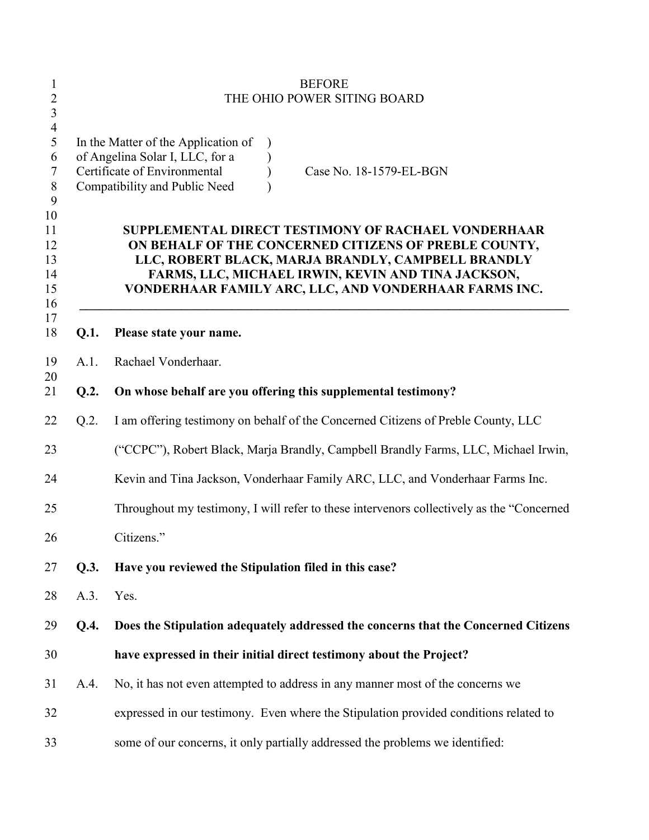| 1<br>$\overline{2}$                     |         | <b>BEFORE</b><br>THE OHIO POWER SITING BOARD                                                                                                                                                                                                                                      |
|-----------------------------------------|---------|-----------------------------------------------------------------------------------------------------------------------------------------------------------------------------------------------------------------------------------------------------------------------------------|
| 3                                       |         |                                                                                                                                                                                                                                                                                   |
| $\overline{4}$<br>5<br>6<br>7<br>8<br>9 |         | In the Matter of the Application of<br>of Angelina Solar I, LLC, for a<br>Certificate of Environmental<br>Case No. 18-1579-EL-BGN<br>Compatibility and Public Need                                                                                                                |
| 10<br>11<br>12<br>13<br>14<br>15<br>16  |         | SUPPLEMENTAL DIRECT TESTIMONY OF RACHAEL VONDERHAAR<br>ON BEHALF OF THE CONCERNED CITIZENS OF PREBLE COUNTY,<br>LLC, ROBERT BLACK, MARJA BRANDLY, CAMPBELL BRANDLY<br>FARMS, LLC, MICHAEL IRWIN, KEVIN AND TINA JACKSON,<br>VONDERHAAR FAMILY ARC, LLC, AND VONDERHAAR FARMS INC. |
| 17<br>18                                | Q.1.    | Please state your name.                                                                                                                                                                                                                                                           |
| 19<br>20                                | A.1.    | Rachael Vonderhaar.                                                                                                                                                                                                                                                               |
| 21                                      | Q.2.    | On whose behalf are you offering this supplemental testimony?                                                                                                                                                                                                                     |
| 22                                      | $Q.2$ . | I am offering testimony on behalf of the Concerned Citizens of Preble County, LLC                                                                                                                                                                                                 |
| 23                                      |         | ("CCPC"), Robert Black, Marja Brandly, Campbell Brandly Farms, LLC, Michael Irwin,                                                                                                                                                                                                |
| 24                                      |         | Kevin and Tina Jackson, Vonderhaar Family ARC, LLC, and Vonderhaar Farms Inc.                                                                                                                                                                                                     |
| 25                                      |         | Throughout my testimony, I will refer to these intervenors collectively as the "Concerned"                                                                                                                                                                                        |
| 26                                      |         | Citizens."                                                                                                                                                                                                                                                                        |
| 27                                      | Q.3.    | Have you reviewed the Stipulation filed in this case?                                                                                                                                                                                                                             |
| 28                                      | A.3.    | Yes.                                                                                                                                                                                                                                                                              |
| 29                                      | Q.4.    | Does the Stipulation adequately addressed the concerns that the Concerned Citizens                                                                                                                                                                                                |
| 30                                      |         | have expressed in their initial direct testimony about the Project?                                                                                                                                                                                                               |
| 31                                      | A.4.    | No, it has not even attempted to address in any manner most of the concerns we                                                                                                                                                                                                    |
| 32                                      |         | expressed in our testimony. Even where the Stipulation provided conditions related to                                                                                                                                                                                             |
| 33                                      |         | some of our concerns, it only partially addressed the problems we identified:                                                                                                                                                                                                     |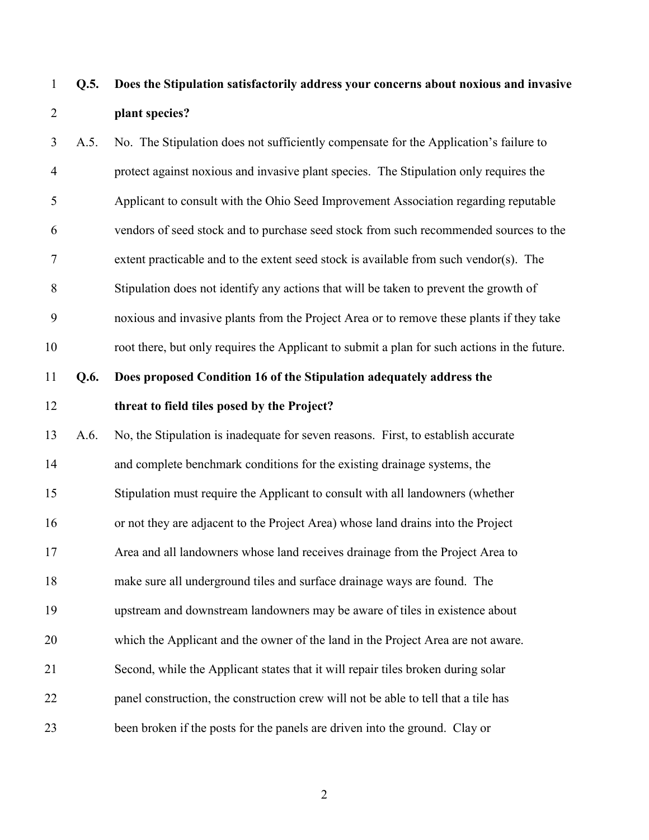**Q.5. Does the Stipulation satisfactorily address your concerns about noxious and invasive plant species?**

 A.5. No. The Stipulation does not sufficiently compensate for the Application's failure to protect against noxious and invasive plant species. The Stipulation only requires the Applicant to consult with the Ohio Seed Improvement Association regarding reputable vendors of seed stock and to purchase seed stock from such recommended sources to the extent practicable and to the extent seed stock is available from such vendor(s). The Stipulation does not identify any actions that will be taken to prevent the growth of noxious and invasive plants from the Project Area or to remove these plants if they take root there, but only requires the Applicant to submit a plan for such actions in the future. **Q.6. Does proposed Condition 16 of the Stipulation adequately address the threat to field tiles posed by the Project?**  A.6. No, the Stipulation is inadequate for seven reasons. First, to establish accurate and complete benchmark conditions for the existing drainage systems, the Stipulation must require the Applicant to consult with all landowners (whether or not they are adjacent to the Project Area) whose land drains into the Project Area and all landowners whose land receives drainage from the Project Area to

make sure all underground tiles and surface drainage ways are found. The

 upstream and downstream landowners may be aware of tiles in existence about which the Applicant and the owner of the land in the Project Area are not aware. Second, while the Applicant states that it will repair tiles broken during solar panel construction, the construction crew will not be able to tell that a tile has

been broken if the posts for the panels are driven into the ground. Clay or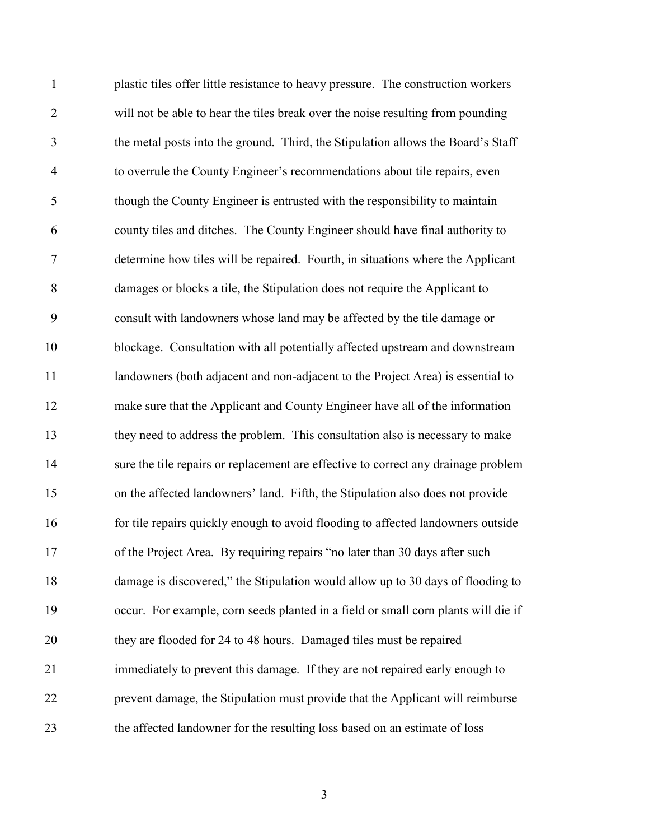plastic tiles offer little resistance to heavy pressure. The construction workers will not be able to hear the tiles break over the noise resulting from pounding the metal posts into the ground. Third, the Stipulation allows the Board's Staff to overrule the County Engineer's recommendations about tile repairs, even though the County Engineer is entrusted with the responsibility to maintain county tiles and ditches. The County Engineer should have final authority to determine how tiles will be repaired. Fourth, in situations where the Applicant damages or blocks a tile, the Stipulation does not require the Applicant to consult with landowners whose land may be affected by the tile damage or blockage. Consultation with all potentially affected upstream and downstream landowners (both adjacent and non-adjacent to the Project Area) is essential to make sure that the Applicant and County Engineer have all of the information they need to address the problem. This consultation also is necessary to make sure the tile repairs or replacement are effective to correct any drainage problem on the affected landowners' land. Fifth, the Stipulation also does not provide for tile repairs quickly enough to avoid flooding to affected landowners outside of the Project Area. By requiring repairs "no later than 30 days after such damage is discovered," the Stipulation would allow up to 30 days of flooding to occur. For example, corn seeds planted in a field or small corn plants will die if they are flooded for 24 to 48 hours. Damaged tiles must be repaired immediately to prevent this damage. If they are not repaired early enough to prevent damage, the Stipulation must provide that the Applicant will reimburse the affected landowner for the resulting loss based on an estimate of loss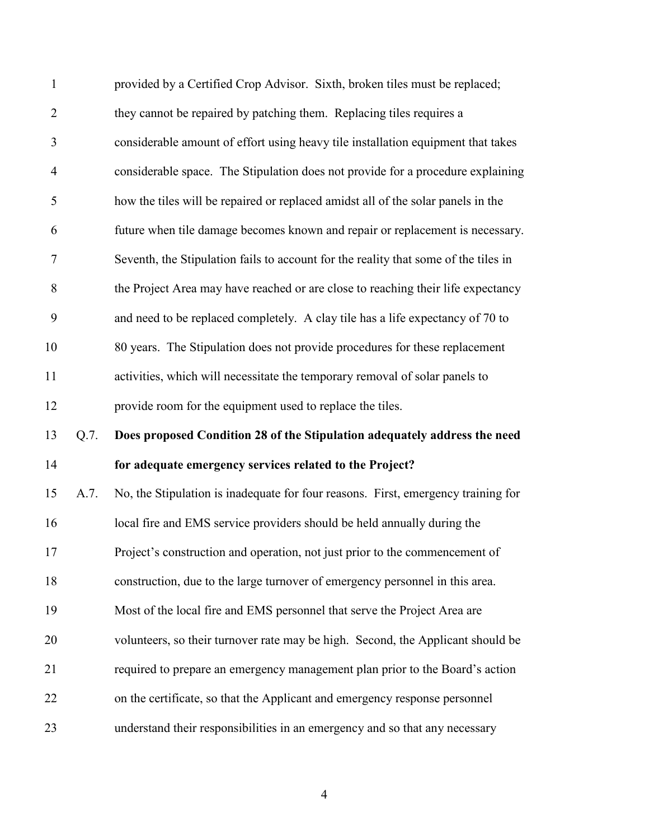| $\mathbf{1}$   |         | provided by a Certified Crop Advisor. Sixth, broken tiles must be replaced;         |
|----------------|---------|-------------------------------------------------------------------------------------|
| $\overline{c}$ |         | they cannot be repaired by patching them. Replacing tiles requires a                |
| 3              |         | considerable amount of effort using heavy tile installation equipment that takes    |
| $\overline{4}$ |         | considerable space. The Stipulation does not provide for a procedure explaining     |
| 5              |         | how the tiles will be repaired or replaced amidst all of the solar panels in the    |
| 6              |         | future when tile damage becomes known and repair or replacement is necessary.       |
| $\tau$         |         | Seventh, the Stipulation fails to account for the reality that some of the tiles in |
| 8              |         | the Project Area may have reached or are close to reaching their life expectancy    |
| 9              |         | and need to be replaced completely. A clay tile has a life expectancy of 70 to      |
| 10             |         | 80 years. The Stipulation does not provide procedures for these replacement         |
| 11             |         | activities, which will necessitate the temporary removal of solar panels to         |
| 12             |         | provide room for the equipment used to replace the tiles.                           |
| 13             | $Q.7$ . | Does proposed Condition 28 of the Stipulation adequately address the need           |
| 14             |         | for adequate emergency services related to the Project?                             |
| 15             | A.7.    | No, the Stipulation is inadequate for four reasons. First, emergency training for   |
| 16             |         | local fire and EMS service providers should be held annually during the             |
| 17             |         | Project's construction and operation, not just prior to the commencement of         |
| 18             |         | construction, due to the large turnover of emergency personnel in this area.        |
| 19             |         | Most of the local fire and EMS personnel that serve the Project Area are            |
| 20             |         | volunteers, so their turnover rate may be high. Second, the Applicant should be     |
| 21             |         | required to prepare an emergency management plan prior to the Board's action        |
| 22             |         | on the certificate, so that the Applicant and emergency response personnel          |
| 23             |         | understand their responsibilities in an emergency and so that any necessary         |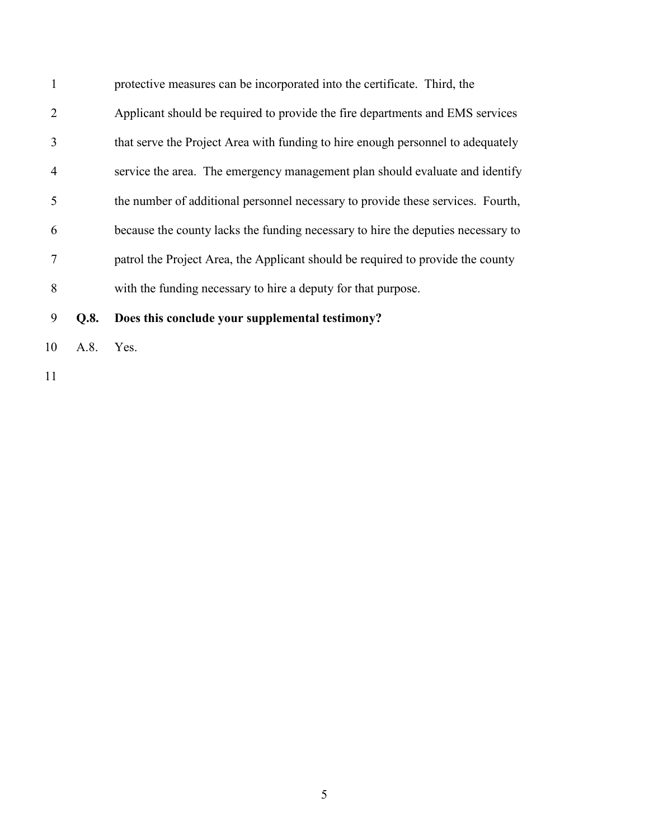protective measures can be incorporated into the certificate. Third, the Applicant should be required to provide the fire departments and EMS services that serve the Project Area with funding to hire enough personnel to adequately service the area. The emergency management plan should evaluate and identify the number of additional personnel necessary to provide these services. Fourth, because the county lacks the funding necessary to hire the deputies necessary to patrol the Project Area, the Applicant should be required to provide the county with the funding necessary to hire a deputy for that purpose.

**Q.8. Does this conclude your supplemental testimony?**

A.8. Yes.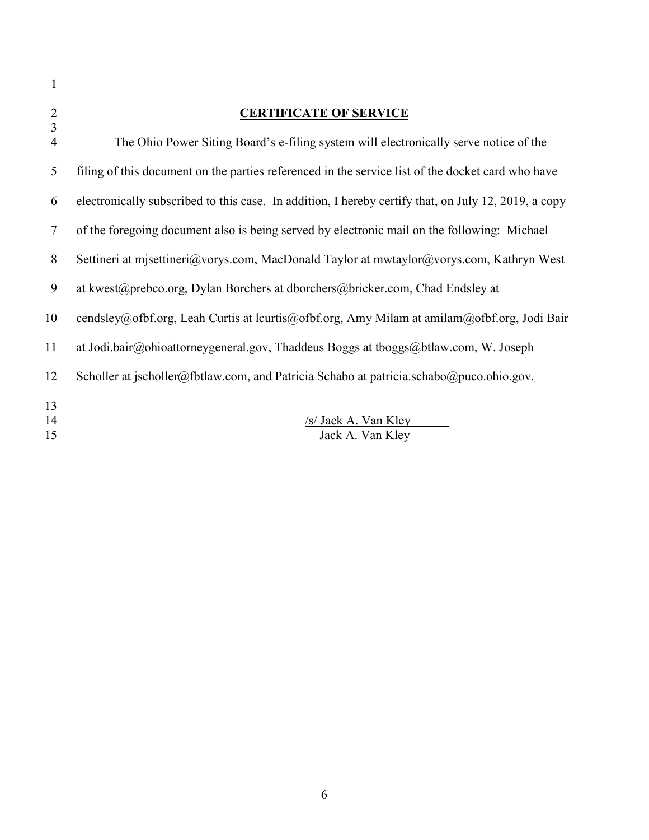| $\mathbf{1}$                                       |                                                                                                      |
|----------------------------------------------------|------------------------------------------------------------------------------------------------------|
| $\overline{2}$<br>$\overline{3}$<br>$\overline{4}$ | <b>CERTIFICATE OF SERVICE</b>                                                                        |
|                                                    | The Ohio Power Siting Board's e-filing system will electronically serve notice of the                |
| 5                                                  | filing of this document on the parties referenced in the service list of the docket card who have    |
| 6                                                  | electronically subscribed to this case. In addition, I hereby certify that, on July 12, 2019, a copy |
| 7                                                  | of the foregoing document also is being served by electronic mail on the following: Michael          |
| 8                                                  | Settineri at misettineri@vorys.com, MacDonald Taylor at mwtaylor@vorys.com, Kathryn West             |
| 9                                                  | at kwest@prebco.org, Dylan Borchers at dborchers@bricker.com, Chad Endsley at                        |
| 10                                                 | cendsley@ofbf.org, Leah Curtis at lcurtis@ofbf.org, Amy Milam at amilam@ofbf.org, Jodi Bair          |
| 11                                                 | at Jodi.bair@ohioattorneygeneral.gov, Thaddeus Boggs at tboggs@btlaw.com, W. Joseph                  |
| 12                                                 | Scholler at jscholler@fbtlaw.com, and Patricia Schabo at patricia.schabo@puco.ohio.gov.              |
| 13<br>14<br>15                                     | /s/ Jack A. Van Kley<br>Jack A. Van Kley                                                             |